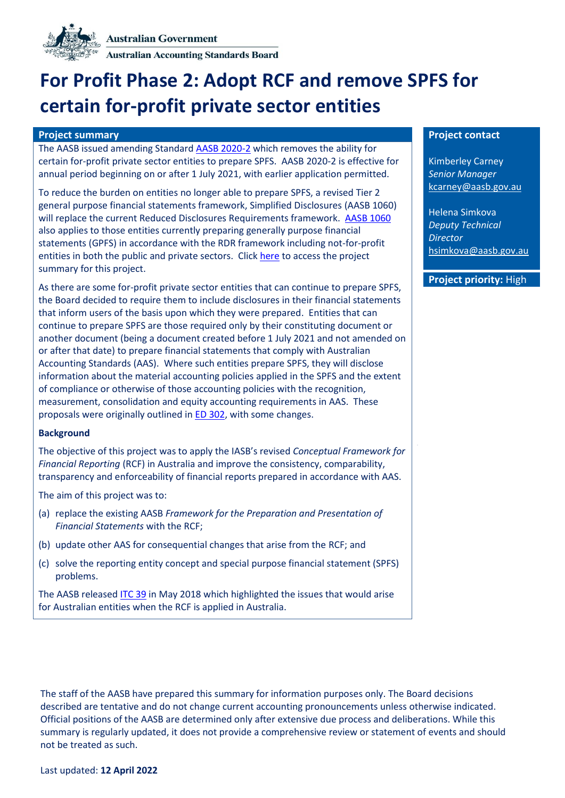

**Australian Accounting Standards Board** 

# **For Profit Phase 2: Adopt RCF and remove SPFS for certain for-profit private sector entities**

### **Project summary Project contact**

The AASB issued amending Standar[d AASB 2020-2](https://aasb.gov.au/admin/file/content105/c9/AASB_2020-2_03-20.pdf) which removes the ability for certain for-profit private sector entities to prepare SPFS. AASB 2020-2 is effective for annual period beginning on or after 1 July 2021, with earlier application permitted.

To reduce the burden on entities no longer able to prepare SPFS, a revised Tier 2 general purpose financial statements framework, Simplified Disclosures (AASB 1060) will replace the current Reduced Disclosures Requirements framework. [AASB 1060](https://www.aasb.gov.au/admin/file/content105/c9/AASB1060_03-20.pdf) also applies to those entities currently preparing generally purpose financial statements (GPFS) in accordance with the RDR framework including not-for-profit entities in both the public and private sectors. Click [here](https://www.aasb.gov.au/admin/file/content102/c3/PS_AFR_RevisedTier2.pdf) to access the project summary for this project.

As there are some for-profit private sector entities that can continue to prepare SPFS, the Board decided to require them to include disclosures in their financial statements that inform users of the basis upon which they were prepared. Entities that can continue to prepare SPFS are those required only by their constituting document or another document (being a document created before 1 July 2021 and not amended on or after that date) to prepare financial statements that comply with Australian Accounting Standards (AAS). Where such entities prepare SPFS, they will disclose information about the material accounting policies applied in the SPFS and the extent of compliance or otherwise of those accounting policies with the recognition, measurement, consolidation and equity accounting requirements in AAS. These proposals were originally outlined in ED [302,](https://www.aasb.gov.au/admin/file/content105/c9/ACCED302_06-20.pdf) with some changes.

#### **Background**

The objective of this project was to apply the IASB's revised *Conceptual Framework for Financial Reporting* (RCF) in Australia and improve the consistency, comparability, transparency and enforceability of financial reports prepared in accordance with AAS.

The aim of this project was to:

- (a) replace the existing AASB *Framework for the Preparation and Presentation of Financial Statements* with the RCF;
- (b) update other AAS for consequential changes that arise from the RCF; and
- (c) solve the reporting entity concept and special purpose financial statement (SPFS) problems.

The AASB release[d ITC 39](https://www.aasb.gov.au/admin/file/content105/c9/ITC39_05_18.pdf) in May 2018 which highlighted the issues that would arise for Australian entities when the RCF is applied in Australia.

Kimberley Carney *Senior Manager* [kcarney@aasb.gov.au](mailto:kcarney@aasb.gov.au)

Helena Simkova *Deputy Technical Director*  hsimkov[a@aasb.gov.au](mailto:kkandiah@aasb.gov.au)

# **Project priority:** High

The staff of the AASB have prepared this summary for information purposes only. The Board decisions described are tentative and do not change current accounting pronouncements unless otherwise indicated. Official positions of the AASB are determined only after extensive due process and deliberations. While this summary is regularly updated, it does not provide a comprehensive review or statement of events and should not be treated as such.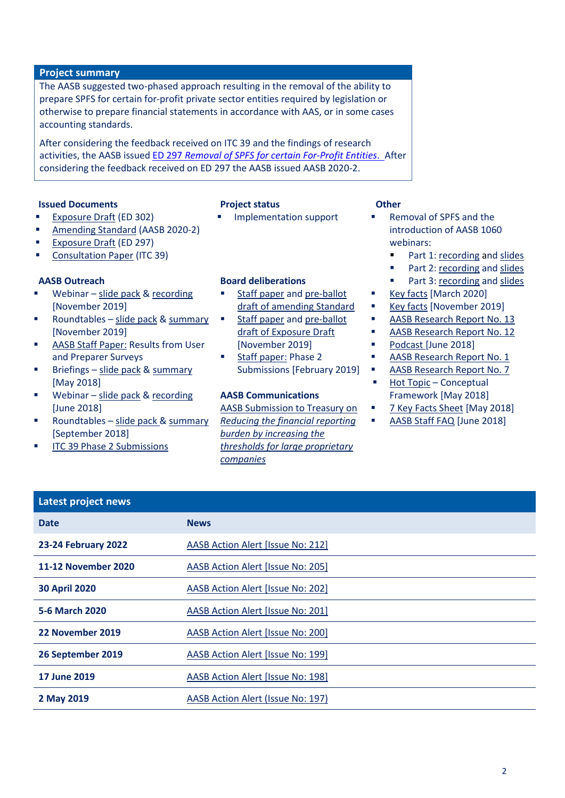### **Project summary**

The AASB suggested two-phased approach resulting in the removal of the ability to prepare SPFS for certain for-profit private sector entities required by legislation or otherwise to prepare financial statements in accordance with AAS, or in some cases accounting standards.

After considering the feedback received on ITC 39 and the findings of research activities, the AASB issued ED [297](https://www.aasb.gov.au/admin/file/content105/c9/ACCED297_08-19.pdf) *Removal of SPFS for certain For-Profit Entities*. After considering the feedback received on ED 297 the AASB issued AASB 2020-2.

### **Issued Documents Project status Other**

[Exposure Draft](https://www.aasb.gov.au/admin/file/content105/c9/ACCED302_06-20.pdf) (ED 302)

- 
- [Exposure Draft](https://www.aasb.gov.au/admin/file/content105/c9/ACCED297_08-19.pdf) (ED 297)
- [Consultation Paper](https://www.aasb.gov.au/admin/file/content105/c9/ITC39_05_18.pdf) (ITC 39)

### **AASB Outreach**

Webinar – [slide pack](https://www.aasb.gov.au/admin/file/content102/c3/ED297_SPFS_Removal_Webinar_Slides.pdf)  $&$  recording [November 2019]

[Amending Standard](https://www.aasb.gov.au/admin/file/content105/c9/AASB2020-2_03-20.pdf) (AASB 2020-2)

- Roundtables [slide pack](https://www.aasb.gov.au/admin/file/content102/c3/SPFS_Removal_Roundtables_v3.pdf)  $&$  [summary](https://www.aasb.gov.au/admin/file/content102/c3/10.1_Oct2019_ED297Roundtable_Summary_M173.pdf) [November 2019]
- **[AASB Staff Paper:](https://www.aasb.gov.au/admin/file/content102/c3/For-Profit_User_and_preparer_survey_report.pdf) Results from User** and Preparer Surveys
- Briefings [slide pack](http://www.aasb.gov.au/admin/file/content102/c3/CF_Briefing_website.pdf) & [summary](http://www.aasb.gov.au/admin/file/content102/c3/CF_May2018_BriefingSessions_Summary.pdf) [May 2018]
- Webinar [slide pack](http://www.aasb.gov.au/admin/file/content102/c3/CF_Briefing_AASB_Webinar_21062018.pdf)  $&$  recording [June 2018]
- Roundtables [slide pack](https://www.aasb.gov.au/admin/file/content102/c3/9.3_AASB_Slides_Sep_Roundtables_M168.pdf) & [summary](https://www.aasb.gov.au/admin/file/content102/c3/Sep2018_Roundtable_Summary.pdf) [September 2018]
- **[ITC 39 Phase 2 Submissions](https://www.aasb.gov.au/admin/file/content102/c3/4.3.2_ITC39Phase2Submissions01-33_M169_NO.pdf)**

# **Board deliberations**

- [Staff paper](https://www.aasb.gov.au/admin/file/content102/c3/3.1_SP_ED297Submissions_M174_PP.pdf) and pre-ballot [draft of amending Standard](https://www.aasb.gov.au/admin/file/content102/c3/3.2_PBD_AASB2020-X_M174_PP.pdf)
- [Staff paper](https://www.aasb.gov.au/admin/file/content102/c3/4.0_CM_SPFS-Removal_M171.pdf) and pre-ballot [draft of Exposure Draft](https://www.aasb.gov.au/admin/file/content102/c3/4.1_ED_SPFS-Removal_M171.pdf) [November 2019]
- [Staff paper:](https://www.aasb.gov.au/admin/file/content102/c3/4.1_SP_Phase2Submissions_M169.pdf) Phase 2 Submissions [February 2019]

# **AASB Communications**

[AASB Submission to Treasury on](https://aasb.gov.au/admin/file/content102/c3/AASB_submission_to_TreasuryThresholdProposals14122018.pdf) *[Reducing the financial reporting](https://aasb.gov.au/admin/file/content102/c3/AASB_submission_to_TreasuryThresholdProposals14122018.pdf)  [burden by increasing the](https://aasb.gov.au/admin/file/content102/c3/AASB_submission_to_TreasuryThresholdProposals14122018.pdf)  [thresholds for large proprietary](https://aasb.gov.au/admin/file/content102/c3/AASB_submission_to_TreasuryThresholdProposals14122018.pdf)  [companies](https://aasb.gov.au/admin/file/content102/c3/AASB_submission_to_TreasuryThresholdProposals14122018.pdf)*

- Implementation support  $\blacksquare$  Removal of SPFS and the introduction of AASB 1060 webinars:
	- Part 1: [recording](https://www.youtube.com/watch?v=dGLJCA1MiJQ&list=PLntQoAu4oFgW87GJ7KYfIvkPN4WU1YUTP&index=4&t=137s) and [slides](https://aasb.gov.au/media/x1ulq1wo/fpentities_removalspfs-1060_part-1_0421.pdf)
	- Part 2[: recording](https://www.youtube.com/watch?v=6YkE8zhAULU&list=PLntQoAu4oFgW87GJ7KYfIvkPN4WU1YUTP&index=3&t=2465s) and [slides](https://aasb.gov.au/media/apdng4so/fpentities_removalspfs-1060_part2_0521.pdf)
	- Part 3[: recording](https://www.youtube.com/watch?v=a0EVU4eIwes&list=PLntQoAu4oFgW87GJ7KYfIvkPN4WU1YUTP&index=2&t=400s) and [slides](https://www.aasb.gov.au/admin/file/content102/c3/FPentities_RemovalSPFS1060_Part3_2521.pdf)
	- [Key facts](https://www.aasb.gov.au/admin/file/content102/c3/AASB2020-2_KeyFacts_03-20.pdf) [March 2020]
	- [Key facts](https://www.aasb.gov.au/admin/file/content2/c7/ED297_Key_facts.pdf) [November 2019]
	- [AASB Research Report No. 13](https://www.aasb.gov.au/admin/file/content102/c3/AASB_RR13_Consol_parent_Sub_FR.pdf)
	- [AASB Research Report No. 12](https://www.aasb.gov.au/admin/file/content102/c3/RR12_ASIC_08-19_1565850176017.pdf)
	- [Podcast](https://www.accountantsdaily.com.au/podcasts/11735-the-biggest-changes-in-years-are-happening-now-are-you-ready) [June 2018]
	- [AASB Research Report No. 1](https://www.aasb.gov.au/admin/file/content102/c3/AASB_RR-1_06-14_Reporting_Entities_and_SPFSs.pdf)
	- [AASB Research Report No. 7](https://www.aasb.gov.au/admin/file/content102/c3/AASB_RR_07_05-18.pdf)
	- Hot Topic Conceptual [Framework](https://www.aasb.gov.au/admin/file/content102/c3/HotTopic_CF_12-18.pdf) [May 2018]
	- [7 Key Facts Sheet](http://www.aasb.gov.au/admin/file/content102/c3/7_KEY_FACTS_CF.pdf) [May 2018]
	- [AASB Staff FAQ](http://www.aasb.gov.au/admin/file/content102/c3/FAQ_CF_5Jun2018.pdf) [June 2018]

| Latest project news  |                                   |
|----------------------|-----------------------------------|
| <b>Date</b>          | <b>News</b>                       |
| 23-24 February 2022  | AASB Action Alert [Issue No: 212] |
| 11-12 November 2020  | AASB Action Alert [Issue No: 205] |
| <b>30 April 2020</b> | AASB Action Alert [Issue No: 202] |
| 5-6 March 2020       | AASB Action Alert [Issue No: 201] |
| 22 November 2019     | AASB Action Alert [Issue No: 200] |
| 26 September 2019    | AASB Action Alert [Issue No: 199] |
| <b>17 June 2019</b>  | AASB Action Alert [Issue No: 198] |
| 2 May 2019           | AASB Action Alert (Issue No: 197) |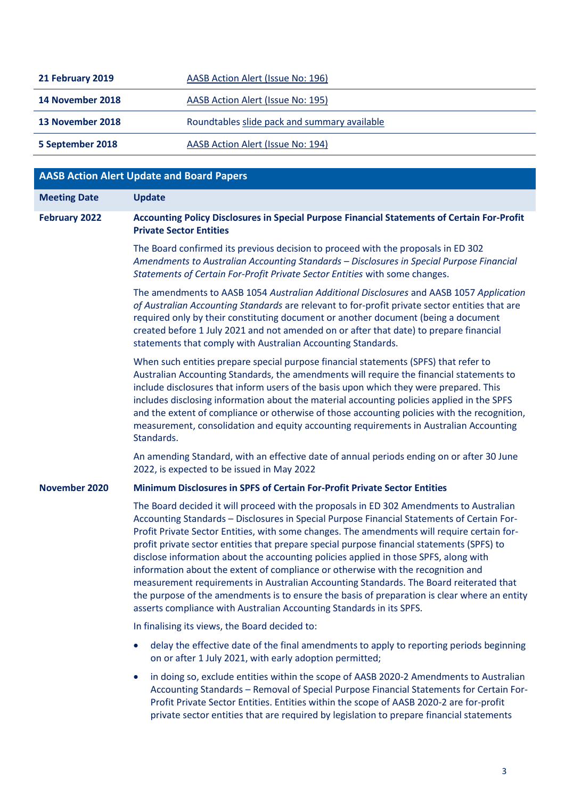| 21 February 2019 | AASB Action Alert (Issue No: 196)            |
|------------------|----------------------------------------------|
| 14 November 2018 | AASB Action Alert (Issue No: 195)            |
| 13 November 2018 | Roundtables slide pack and summary available |
| 5 September 2018 | AASB Action Alert (Issue No: 194)            |

|                      | <b>AASB Action Alert Update and Board Papers</b>                                                                                                                                                                                                                                                                                                                                                                                                                                                                                                                                                                                                                                                                                                                                                                                 |
|----------------------|----------------------------------------------------------------------------------------------------------------------------------------------------------------------------------------------------------------------------------------------------------------------------------------------------------------------------------------------------------------------------------------------------------------------------------------------------------------------------------------------------------------------------------------------------------------------------------------------------------------------------------------------------------------------------------------------------------------------------------------------------------------------------------------------------------------------------------|
| <b>Meeting Date</b>  | <b>Update</b>                                                                                                                                                                                                                                                                                                                                                                                                                                                                                                                                                                                                                                                                                                                                                                                                                    |
| <b>February 2022</b> | Accounting Policy Disclosures in Special Purpose Financial Statements of Certain For-Profit<br><b>Private Sector Entities</b>                                                                                                                                                                                                                                                                                                                                                                                                                                                                                                                                                                                                                                                                                                    |
|                      | The Board confirmed its previous decision to proceed with the proposals in ED 302<br>Amendments to Australian Accounting Standards - Disclosures in Special Purpose Financial<br>Statements of Certain For-Profit Private Sector Entities with some changes.                                                                                                                                                                                                                                                                                                                                                                                                                                                                                                                                                                     |
|                      | The amendments to AASB 1054 Australian Additional Disclosures and AASB 1057 Application<br>of Australian Accounting Standards are relevant to for-profit private sector entities that are<br>required only by their constituting document or another document (being a document<br>created before 1 July 2021 and not amended on or after that date) to prepare financial<br>statements that comply with Australian Accounting Standards.                                                                                                                                                                                                                                                                                                                                                                                        |
|                      | When such entities prepare special purpose financial statements (SPFS) that refer to<br>Australian Accounting Standards, the amendments will require the financial statements to<br>include disclosures that inform users of the basis upon which they were prepared. This<br>includes disclosing information about the material accounting policies applied in the SPFS<br>and the extent of compliance or otherwise of those accounting policies with the recognition,<br>measurement, consolidation and equity accounting requirements in Australian Accounting<br>Standards.                                                                                                                                                                                                                                                 |
|                      | An amending Standard, with an effective date of annual periods ending on or after 30 June<br>2022, is expected to be issued in May 2022                                                                                                                                                                                                                                                                                                                                                                                                                                                                                                                                                                                                                                                                                          |
| <b>November 2020</b> | Minimum Disclosures in SPFS of Certain For-Profit Private Sector Entities                                                                                                                                                                                                                                                                                                                                                                                                                                                                                                                                                                                                                                                                                                                                                        |
|                      | The Board decided it will proceed with the proposals in ED 302 Amendments to Australian<br>Accounting Standards - Disclosures in Special Purpose Financial Statements of Certain For-<br>Profit Private Sector Entities, with some changes. The amendments will require certain for-<br>profit private sector entities that prepare special purpose financial statements (SPFS) to<br>disclose information about the accounting policies applied in those SPFS, along with<br>information about the extent of compliance or otherwise with the recognition and<br>measurement requirements in Australian Accounting Standards. The Board reiterated that<br>the purpose of the amendments is to ensure the basis of preparation is clear where an entity<br>asserts compliance with Australian Accounting Standards in its SPFS. |
|                      | In finalising its views, the Board decided to:                                                                                                                                                                                                                                                                                                                                                                                                                                                                                                                                                                                                                                                                                                                                                                                   |
|                      | delay the effective date of the final amendments to apply to reporting periods beginning<br>on or after 1 July 2021, with early adoption permitted;                                                                                                                                                                                                                                                                                                                                                                                                                                                                                                                                                                                                                                                                              |
|                      | in doing so, exclude entities within the scope of AASB 2020-2 Amendments to Australian<br>$\bullet$<br>Accounting Standards - Removal of Special Purpose Financial Statements for Certain For-<br>Profit Private Sector Entities. Entities within the scope of AASB 2020-2 are for-profit<br>private sector entities that are required by legislation to prepare financial statements                                                                                                                                                                                                                                                                                                                                                                                                                                            |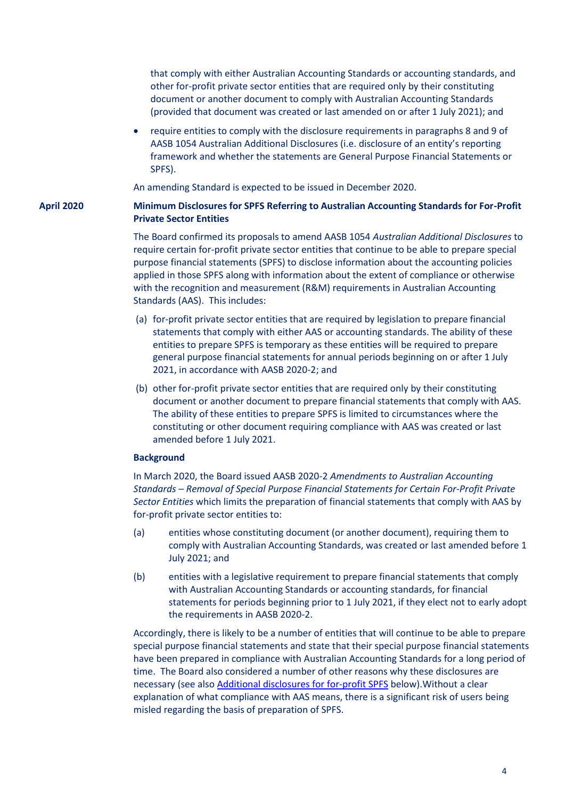that comply with either Australian Accounting Standards or accounting standards, and other for-profit private sector entities that are required only by their constituting document or another document to comply with Australian Accounting Standards (provided that document was created or last amended on or after 1 July 2021); and

• require entities to comply with the disclosure requirements in paragraphs 8 and 9 of AASB 1054 Australian Additional Disclosures (i.e. disclosure of an entity's reporting framework and whether the statements are General Purpose Financial Statements or SPFS).

An amending Standard is expected to be issued in December 2020.

### **April 2020 Minimum Disclosures for SPFS Referring to Australian Accounting Standards for For-Profit Private Sector Entities**

The Board confirmed its proposals to amend AASB 1054 *Australian Additional Disclosures* to require certain for-profit private sector entities that continue to be able to prepare special purpose financial statements (SPFS) to disclose information about the accounting policies applied in those SPFS along with information about the extent of compliance or otherwise with the recognition and measurement (R&M) requirements in Australian Accounting Standards (AAS). This includes:

- (a) for-profit private sector entities that are required by legislation to prepare financial statements that comply with either AAS or accounting standards. The ability of these entities to prepare SPFS is temporary as these entities will be required to prepare general purpose financial statements for annual periods beginning on or after 1 July 2021, in accordance with AASB 2020-2; and
- (b) other for-profit private sector entities that are required only by their constituting document or another document to prepare financial statements that comply with AAS. The ability of these entities to prepare SPFS is limited to circumstances where the constituting or other document requiring compliance with AAS was created or last amended before 1 July 2021.

### **Background**

In March 2020, the Board issued AASB 2020-2 *Amendments to Australian Accounting Standards – Removal of Special Purpose Financial Statements for Certain For-Profit Private Sector Entities* which limits the preparation of financial statements that comply with AAS by for-profit private sector entities to:

- (a) entities whose constituting document (or another document), requiring them to comply with Australian Accounting Standards, was created or last amended before 1 July 2021; and
- (b) entities with a legislative requirement to prepare financial statements that comply with Australian Accounting Standards or accounting standards, for financial statements for periods beginning prior to 1 July 2021, if they elect not to early adopt the requirements in AASB 2020-2.

Accordingly, there is likely to be a number of entities that will continue to be able to prepare special purpose financial statements and state that their special purpose financial statements have been prepared in compliance with Australian Accounting Standards for a long period of time. The Board also considered a number of other reasons why these disclosures are necessary (see also [Additional disclosures for for-profit SPFS](#page-5-0) below).Without a clear explanation of what compliance with AAS means, there is a significant risk of users being misled regarding the basis of preparation of SPFS.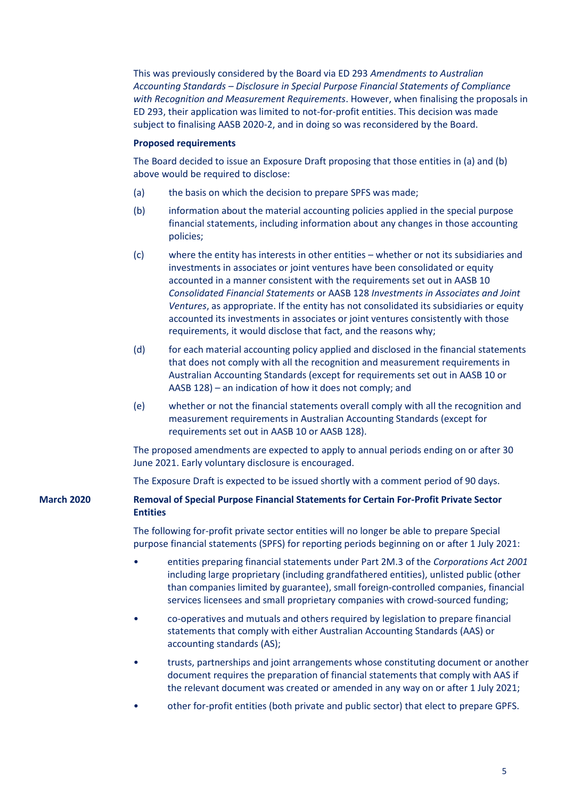This was previously considered by the Board via ED 293 *Amendments to Australian Accounting Standards – Disclosure in Special Purpose Financial Statements of Compliance with Recognition and Measurement Requirements*. However, when finalising the proposals in ED 293, their application was limited to not-for-profit entities. This decision was made subject to finalising AASB 2020-2, and in doing so was reconsidered by the Board.

### **Proposed requirements**

The Board decided to issue an Exposure Draft proposing that those entities in (a) and (b) above would be required to disclose:

- (a) the basis on which the decision to prepare SPFS was made;
- (b) information about the material accounting policies applied in the special purpose financial statements, including information about any changes in those accounting policies;
- (c) where the entity has interests in other entities whether or not its subsidiaries and investments in associates or joint ventures have been consolidated or equity accounted in a manner consistent with the requirements set out in AASB 10 *Consolidated Financial Statements* or AASB 128 *Investments in Associates and Joint Ventures*, as appropriate. If the entity has not consolidated its subsidiaries or equity accounted its investments in associates or joint ventures consistently with those requirements, it would disclose that fact, and the reasons why;
- (d) for each material accounting policy applied and disclosed in the financial statements that does not comply with all the recognition and measurement requirements in Australian Accounting Standards (except for requirements set out in AASB 10 or AASB 128) – an indication of how it does not comply; and
- (e) whether or not the financial statements overall comply with all the recognition and measurement requirements in Australian Accounting Standards (except for requirements set out in AASB 10 or AASB 128).

The proposed amendments are expected to apply to annual periods ending on or after 30 June 2021. Early voluntary disclosure is encouraged.

The Exposure Draft is expected to be issued shortly with a comment period of 90 days.

# **March 2020 Removal of Special Purpose Financial Statements for Certain For-Profit Private Sector Entities**

The following for-profit private sector entities will no longer be able to prepare Special purpose financial statements (SPFS) for reporting periods beginning on or after 1 July 2021:

- entities preparing financial statements under Part 2M.3 of the *Corporations Act 2001* including large proprietary (including grandfathered entities), unlisted public (other than companies limited by guarantee), small foreign-controlled companies, financial services licensees and small proprietary companies with crowd-sourced funding;
- co-operatives and mutuals and others required by legislation to prepare financial statements that comply with either Australian Accounting Standards (AAS) or accounting standards (AS);
- trusts, partnerships and joint arrangements whose constituting document or another document requires the preparation of financial statements that comply with AAS if the relevant document was created or amended in any way on or after 1 July 2021;
- other for-profit entities (both private and public sector) that elect to prepare GPFS.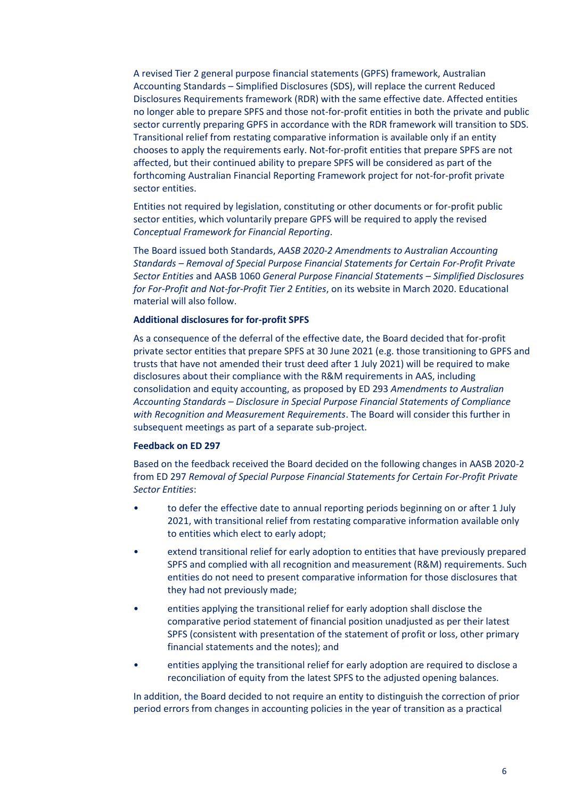A revised Tier 2 general purpose financial statements (GPFS) framework, Australian Accounting Standards – Simplified Disclosures (SDS), will replace the current Reduced Disclosures Requirements framework (RDR) with the same effective date. Affected entities no longer able to prepare SPFS and those not-for-profit entities in both the private and public sector currently preparing GPFS in accordance with the RDR framework will transition to SDS. Transitional relief from restating comparative information is available only if an entity chooses to apply the requirements early. Not-for-profit entities that prepare SPFS are not affected, but their continued ability to prepare SPFS will be considered as part of the forthcoming Australian Financial Reporting Framework project for not-for-profit private sector entities.

Entities not required by legislation, constituting or other documents or for-profit public sector entities, which voluntarily prepare GPFS will be required to apply the revised *Conceptual Framework for Financial Reporting*.

The Board issued both Standards, *AASB 2020-2 Amendments to Australian Accounting Standards – Removal of Special Purpose Financial Statements for Certain For-Profit Private Sector Entities* and AASB 1060 *General Purpose Financial Statements – Simplified Disclosures for For-Profit and Not-for-Profit Tier 2 Entities*, on its website in March 2020. Educational material will also follow.

#### <span id="page-5-0"></span>**Additional disclosures for for-profit SPFS**

As a consequence of the deferral of the effective date, the Board decided that for-profit private sector entities that prepare SPFS at 30 June 2021 (e.g. those transitioning to GPFS and trusts that have not amended their trust deed after 1 July 2021) will be required to make disclosures about their compliance with the R&M requirements in AAS, including consolidation and equity accounting, as proposed by ED 293 *Amendments to Australian Accounting Standards – Disclosure in Special Purpose Financial Statements of Compliance with Recognition and Measurement Requirements*. The Board will consider this further in subsequent meetings as part of a separate sub-project.

#### **Feedback on ED 297**

Based on the feedback received the Board decided on the following changes in AASB 2020-2 from ED 297 *Removal of Special Purpose Financial Statements for Certain For-Profit Private Sector Entities*:

- to defer the effective date to annual reporting periods beginning on or after 1 July 2021, with transitional relief from restating comparative information available only to entities which elect to early adopt;
- extend transitional relief for early adoption to entities that have previously prepared SPFS and complied with all recognition and measurement (R&M) requirements. Such entities do not need to present comparative information for those disclosures that they had not previously made;
- entities applying the transitional relief for early adoption shall disclose the comparative period statement of financial position unadjusted as per their latest SPFS (consistent with presentation of the statement of profit or loss, other primary financial statements and the notes); and
- entities applying the transitional relief for early adoption are required to disclose a reconciliation of equity from the latest SPFS to the adjusted opening balances.

In addition, the Board decided to not require an entity to distinguish the correction of prior period errors from changes in accounting policies in the year of transition as a practical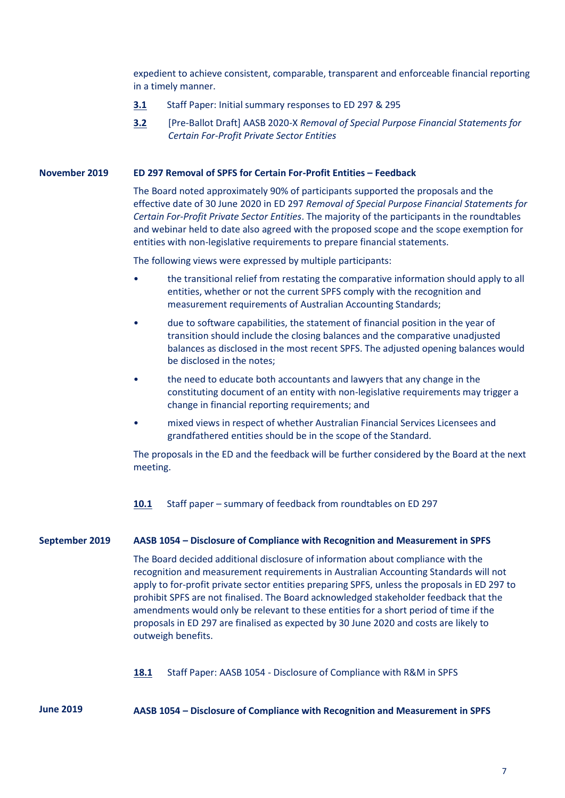expedient to achieve consistent, comparable, transparent and enforceable financial reporting in a timely manner.

- **[3.1](https://www.aasb.gov.au/admin/file/content102/c3/3.1_SP_ED297Submissions_M174_PP.pdf)** Staff Paper: Initial summary responses to ED 297 & 295
- **[3.2](https://www.aasb.gov.au/admin/file/content102/c3/3.2_PBD_AASB2020-X_M174_PP.pdf)** [Pre-Ballot Draft] AASB 2020-X *Removal of Special Purpose Financial Statements for Certain For-Profit Private Sector Entities*

#### **November 2019 ED 297 Removal of SPFS for Certain For-Profit Entities – Feedback**

The Board noted approximately 90% of participants supported the proposals and the effective date of 30 June 2020 in ED 297 *Removal of Special Purpose Financial Statements for Certain For-Profit Private Sector Entities*. The majority of the participants in the roundtables and webinar held to date also agreed with the proposed scope and the scope exemption for entities with non-legislative requirements to prepare financial statements.

The following views were expressed by multiple participants:

- the transitional relief from restating the comparative information should apply to all entities, whether or not the current SPFS comply with the recognition and measurement requirements of Australian Accounting Standards;
- due to software capabilities, the statement of financial position in the year of transition should include the closing balances and the comparative unadjusted balances as disclosed in the most recent SPFS. The adjusted opening balances would be disclosed in the notes;
- the need to educate both accountants and lawyers that any change in the constituting document of an entity with non-legislative requirements may trigger a change in financial reporting requirements; and
- mixed views in respect of whether Australian Financial Services Licensees and grandfathered entities should be in the scope of the Standard.

The proposals in the ED and the feedback will be further considered by the Board at the next meeting.

**[10.1](https://www.aasb.gov.au/admin/file/content102/c3/10.1_Oct2019_ED297Roundtable_Summary_M173.pdf)** Staff paper – summary of feedback from roundtables on ED 297

#### **September 2019 AASB 1054 – Disclosure of Compliance with Recognition and Measurement in SPFS**

The Board decided additional disclosure of information about compliance with the recognition and measurement requirements in Australian Accounting Standards will not apply to for-profit private sector entities preparing SPFS, unless the proposals in ED 297 to prohibit SPFS are not finalised. The Board acknowledged stakeholder feedback that the amendments would only be relevant to these entities for a short period of time if the proposals in ED 297 are finalised as expected by 30 June 2020 and costs are likely to outweigh benefits.

**[18.1](https://www.aasb.gov.au/admin/file/content102/c3/18.1_SP_ED293Submissions_M172_REVISED.pdf)** Staff Paper: AASB 1054 - Disclosure of Compliance with R&M in SPFS

**June 2019 AASB 1054 – Disclosure of Compliance with Recognition and Measurement in SPFS**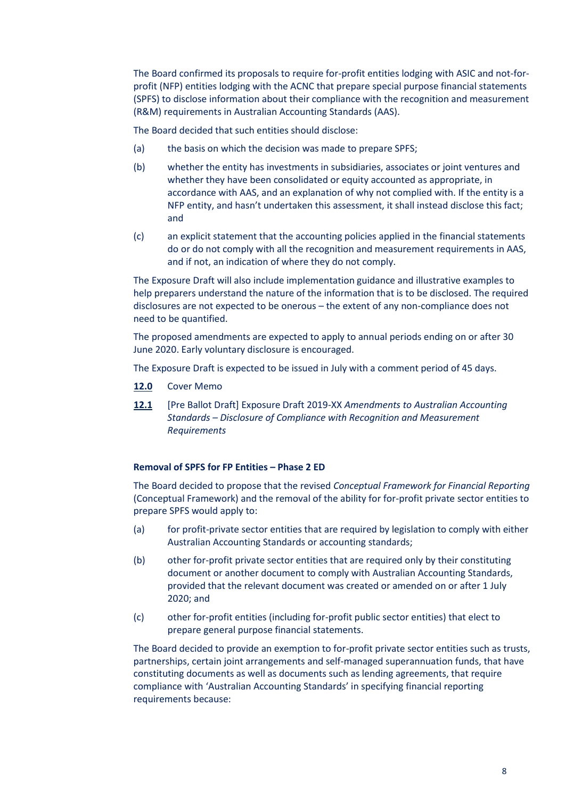The Board confirmed its proposals to require for-profit entities lodging with ASIC and not-forprofit (NFP) entities lodging with the ACNC that prepare special purpose financial statements (SPFS) to disclose information about their compliance with the recognition and measurement (R&M) requirements in Australian Accounting Standards (AAS).

The Board decided that such entities should disclose:

- (a) the basis on which the decision was made to prepare SPFS;
- (b) whether the entity has investments in subsidiaries, associates or joint ventures and whether they have been consolidated or equity accounted as appropriate, in accordance with AAS, and an explanation of why not complied with. If the entity is a NFP entity, and hasn't undertaken this assessment, it shall instead disclose this fact; and
- (c) an explicit statement that the accounting policies applied in the financial statements do or do not comply with all the recognition and measurement requirements in AAS, and if not, an indication of where they do not comply.

The Exposure Draft will also include implementation guidance and illustrative examples to help preparers understand the nature of the information that is to be disclosed. The required disclosures are not expected to be onerous – the extent of any non-compliance does not need to be quantified.

The proposed amendments are expected to apply to annual periods ending on or after 30 June 2020. Early voluntary disclosure is encouraged.

The Exposure Draft is expected to be issued in July with a comment period of 45 days.

- **[12.0](https://www.aasb.gov.au/admin/file/content102/c3/12.0_CM_AAS_RM_disc_M171.pdf)** Cover Memo
- **[12.1](https://www.aasb.gov.au/admin/file/content102/c3/12.1_ED_Pre_Ballot_Draft_AAS_RM_disc_M171.pdf)** [Pre Ballot Draft] Exposure Draft 2019-XX *Amendments to Australian Accounting Standards – Disclosure of Compliance with Recognition and Measurement Requirements*

#### **Removal of SPFS for FP Entities – Phase 2 ED**

The Board decided to propose that the revised *Conceptual Framework for Financial Reporting*  (Conceptual Framework) and the removal of the ability for for-profit private sector entities to prepare SPFS would apply to:

- (a) for profit-private sector entities that are required by legislation to comply with either Australian Accounting Standards or accounting standards;
- (b) other for-profit private sector entities that are required only by their constituting document or another document to comply with Australian Accounting Standards, provided that the relevant document was created or amended on or after 1 July 2020; and
- (c) other for-profit entities (including for-profit public sector entities) that elect to prepare general purpose financial statements.

The Board decided to provide an exemption to for-profit private sector entities such as trusts, partnerships, certain joint arrangements and self-managed superannuation funds, that have constituting documents as well as documents such as lending agreements, that require compliance with 'Australian Accounting Standards' in specifying financial reporting requirements because: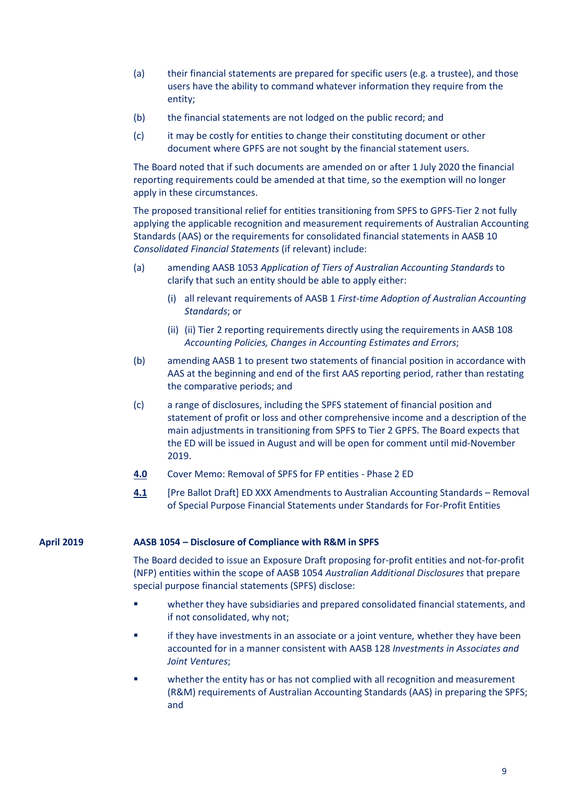- (a) their financial statements are prepared for specific users (e.g. a trustee), and those users have the ability to command whatever information they require from the entity;
- (b) the financial statements are not lodged on the public record; and
- (c) it may be costly for entities to change their constituting document or other document where GPFS are not sought by the financial statement users.

The Board noted that if such documents are amended on or after 1 July 2020 the financial reporting requirements could be amended at that time, so the exemption will no longer apply in these circumstances.

The proposed transitional relief for entities transitioning from SPFS to GPFS-Tier 2 not fully applying the applicable recognition and measurement requirements of Australian Accounting Standards (AAS) or the requirements for consolidated financial statements in AASB 10 *Consolidated Financial Statements* (if relevant) include:

- (a) amending AASB 1053 *Application of Tiers of Australian Accounting Standards* to clarify that such an entity should be able to apply either:
	- (i) all relevant requirements of AASB 1 *First-time Adoption of Australian Accounting Standards*; or
	- (ii) (ii) Tier 2 reporting requirements directly using the requirements in AASB 108 *Accounting Policies, Changes in Accounting Estimates and Errors*;
- (b) amending AASB 1 to present two statements of financial position in accordance with AAS at the beginning and end of the first AAS reporting period, rather than restating the comparative periods; and
- (c) a range of disclosures, including the SPFS statement of financial position and statement of profit or loss and other comprehensive income and a description of the main adjustments in transitioning from SPFS to Tier 2 GPFS. The Board expects that the ED will be issued in August and will be open for comment until mid-November 2019.
- **[4.0](https://www.aasb.gov.au/admin/file/content102/c3/4.0_CM_SPFS-Removal_M171.pdf)** Cover Memo: Removal of SPFS for FP entities Phase 2 ED
- **[4.1](https://www.aasb.gov.au/admin/file/content102/c3/4.1_ED_SPFS-Removal_M171.pdf)** [Pre Ballot Draft] ED XXX Amendments to Australian Accounting Standards Removal of Special Purpose Financial Statements under Standards for For-Profit Entities

#### **April 2019 AASB 1054 – Disclosure of Compliance with R&M in SPFS**

The Board decided to issue an Exposure Draft proposing for-profit entities and not-for-profit (NFP) entities within the scope of AASB 1054 *Australian Additional Disclosures* that prepare special purpose financial statements (SPFS) disclose:

- whether they have subsidiaries and prepared consolidated financial statements, and if not consolidated, why not;
- if they have investments in an associate or a joint venture*,* whether they have been accounted for in a manner consistent with AASB 128 *Investments in Associates and Joint Ventures*;
- whether the entity has or has not complied with all recognition and measurement (R&M) requirements of Australian Accounting Standards (AAS) in preparing the SPFS; and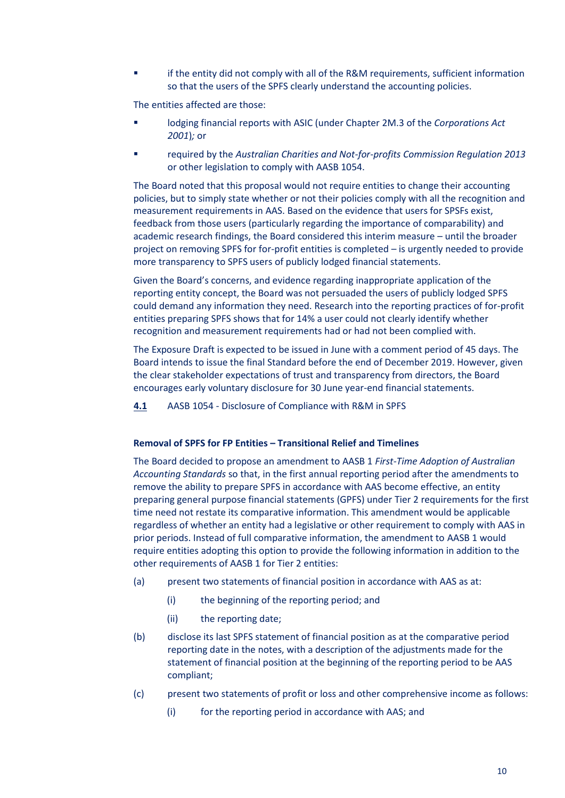**■** if the entity did not comply with all of the R&M requirements, sufficient information so that the users of the SPFS clearly understand the accounting policies.

The entities affected are those:

- lodging financial reports with ASIC (under Chapter 2M.3 of the *Corporations Act 2001*)*;* or
- required by the *Australian Charities and Not-for-profits Commission Regulation 2013*  or other legislation to comply with AASB 1054.

The Board noted that this proposal would not require entities to change their accounting policies, but to simply state whether or not their policies comply with all the recognition and measurement requirements in AAS. Based on the evidence that users for SPSFs exist, feedback from those users (particularly regarding the importance of comparability) and academic research findings, the Board considered this interim measure – until the broader project on removing SPFS for for-profit entities is completed – is urgently needed to provide more transparency to SPFS users of publicly lodged financial statements.

Given the Board's concerns, and evidence regarding inappropriate application of the reporting entity concept, the Board was not persuaded the users of publicly lodged SPFS could demand any information they need. Research into the reporting practices of for-profit entities preparing SPFS shows that for 14% a user could not clearly identify whether recognition and measurement requirements had or had not been complied with.

The Exposure Draft is expected to be issued in June with a comment period of 45 days. The Board intends to issue the final Standard before the end of December 2019. However, given the clear stakeholder expectations of trust and transparency from directors, the Board encourages early voluntary disclosure for 30 June year-end financial statements.

**[4.1](https://www.aasb.gov.au/admin/file/content102/c3/4.1_SP_AAS_RM_disc_M170.pdf)** AASB 1054 - Disclosure of Compliance with R&M in SPFS

## **Removal of SPFS for FP Entities – Transitional Relief and Timelines**

The Board decided to propose an amendment to AASB 1 *First-Time Adoption of Australian Accounting Standards* so that, in the first annual reporting period after the amendments to remove the ability to prepare SPFS in accordance with AAS become effective, an entity preparing general purpose financial statements (GPFS) under Tier 2 requirements for the first time need not restate its comparative information. This amendment would be applicable regardless of whether an entity had a legislative or other requirement to comply with AAS in prior periods. Instead of full comparative information, the amendment to AASB 1 would require entities adopting this option to provide the following information in addition to the other requirements of AASB 1 for Tier 2 entities:

- (a) present two statements of financial position in accordance with AAS as at:
	- (i) the beginning of the reporting period; and
	- (ii) the reporting date;
- (b) disclose its last SPFS statement of financial position as at the comparative period reporting date in the notes, with a description of the adjustments made for the statement of financial position at the beginning of the reporting period to be AAS compliant;
- (c) present two statements of profit or loss and other comprehensive income as follows:
	- (i) for the reporting period in accordance with AAS; and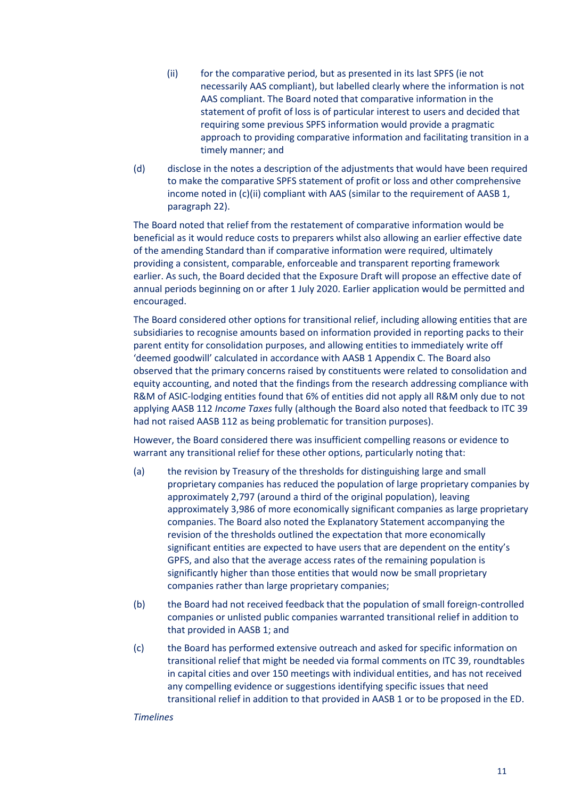- (ii) for the comparative period, but as presented in its last SPFS (ie not necessarily AAS compliant), but labelled clearly where the information is not AAS compliant. The Board noted that comparative information in the statement of profit of loss is of particular interest to users and decided that requiring some previous SPFS information would provide a pragmatic approach to providing comparative information and facilitating transition in a timely manner; and
- (d) disclose in the notes a description of the adjustments that would have been required to make the comparative SPFS statement of profit or loss and other comprehensive income noted in (c)(ii) compliant with AAS (similar to the requirement of AASB 1, paragraph 22).

The Board noted that relief from the restatement of comparative information would be beneficial as it would reduce costs to preparers whilst also allowing an earlier effective date of the amending Standard than if comparative information were required, ultimately providing a consistent, comparable, enforceable and transparent reporting framework earlier. As such, the Board decided that the Exposure Draft will propose an effective date of annual periods beginning on or after 1 July 2020. Earlier application would be permitted and encouraged.

The Board considered other options for transitional relief, including allowing entities that are subsidiaries to recognise amounts based on information provided in reporting packs to their parent entity for consolidation purposes, and allowing entities to immediately write off 'deemed goodwill' calculated in accordance with AASB 1 Appendix C. The Board also observed that the primary concerns raised by constituents were related to consolidation and equity accounting, and noted that the findings from the research addressing compliance with R&M of ASIC-lodging entities found that 6% of entities did not apply all R&M only due to not applying AASB 112 *Income Taxes* fully (although the Board also noted that feedback to ITC 39 had not raised AASB 112 as being problematic for transition purposes).

However, the Board considered there was insufficient compelling reasons or evidence to warrant any transitional relief for these other options, particularly noting that:

- (a) the revision by Treasury of the thresholds for distinguishing large and small proprietary companies has reduced the population of large proprietary companies by approximately 2,797 (around a third of the original population), leaving approximately 3,986 of more economically significant companies as large proprietary companies. The Board also noted the Explanatory Statement accompanying the revision of the thresholds outlined the expectation that more economically significant entities are expected to have users that are dependent on the entity's GPFS, and also that the average access rates of the remaining population is significantly higher than those entities that would now be small proprietary companies rather than large proprietary companies;
- (b) the Board had not received feedback that the population of small foreign-controlled companies or unlisted public companies warranted transitional relief in addition to that provided in AASB 1; and
- (c) the Board has performed extensive outreach and asked for specific information on transitional relief that might be needed via formal comments on ITC 39, roundtables in capital cities and over 150 meetings with individual entities, and has not received any compelling evidence or suggestions identifying specific issues that need transitional relief in addition to that provided in AASB 1 or to be proposed in the ED.

#### *Timelines*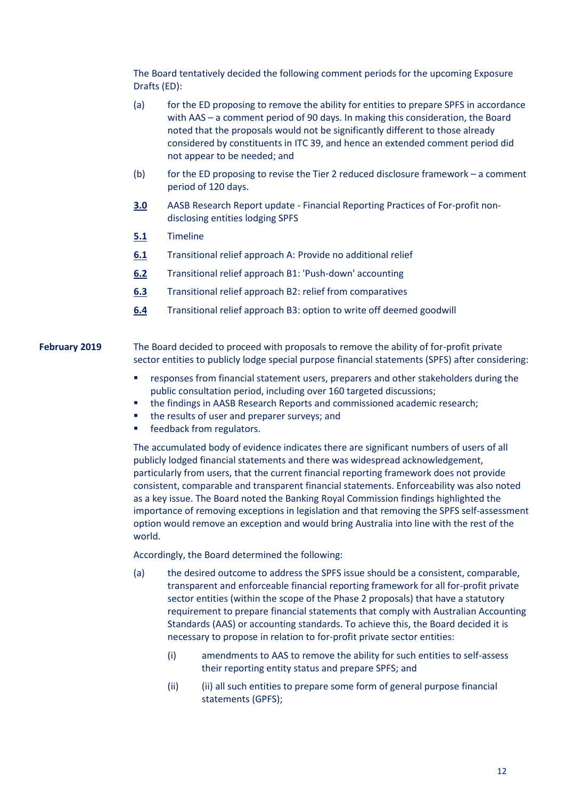The Board tentatively decided the following comment periods for the upcoming Exposure Drafts (ED):

- (a) for the ED proposing to remove the ability for entities to prepare SPFS in accordance with AAS – a comment period of 90 days. In making this consideration, the Board noted that the proposals would not be significantly different to those already considered by constituents in ITC 39, and hence an extended comment period did not appear to be needed; and
- (b) for the ED proposing to revise the Tier 2 reduced disclosure framework a comment period of 120 days.
- **[3.0](https://www.aasb.gov.au/admin/file/content102/c3/3.0_ResearchUpdate_M170.pdf)** AASB Research Report update Financial Reporting Practices of For-profit nondisclosing entities lodging SPFS
- **[5.1](https://www.aasb.gov.au/admin/file/content102/c3/5.1_SP_RemoveSPFSTimeline_M170.pdf)** Timeline
- **[6.1](https://www.aasb.gov.au/admin/file/content102/c3/6.1_SP_Transition-A_M170.pdf)** Transitional relief approach A: Provide no additional relief
- **[6.2](https://www.aasb.gov.au/admin/file/content102/c3/6.2_SP_TransitionB1-PushDown_M170.pdf)** Transitional relief approach B1: 'Push-down' accounting
- **[6.3](https://www.aasb.gov.au/admin/file/content102/c3/6.3_SP_TransitionB2-comparatives_M170.pdf)** Transitional relief approach B2: relief from comparatives
- **[6.4](https://www.aasb.gov.au/admin/file/content102/c3/6.4_SP_TransitionB3-DeemedGoodwill_M170.pdf)** Transitional relief approach B3: option to write off deemed goodwill

**February 2019** The Board decided to proceed with proposals to remove the ability of for-profit private sector entities to publicly lodge special purpose financial statements (SPFS) after considering:

- responses from financial statement users, preparers and other stakeholders during the public consultation period, including over 160 targeted discussions;
- the findings in AASB Research Reports and commissioned academic research;
- the results of user and preparer surveys; and
- feedback from regulators.

The accumulated body of evidence indicates there are significant numbers of users of all publicly lodged financial statements and there was widespread acknowledgement, particularly from users, that the current financial reporting framework does not provide consistent, comparable and transparent financial statements. Enforceability was also noted as a key issue. The Board noted the Banking Royal Commission findings highlighted the importance of removing exceptions in legislation and that removing the SPFS self-assessment option would remove an exception and would bring Australia into line with the rest of the world.

Accordingly, the Board determined the following:

- (a) the desired outcome to address the SPFS issue should be a consistent, comparable, transparent and enforceable financial reporting framework for all for-profit private sector entities (within the scope of the Phase 2 proposals) that have a statutory requirement to prepare financial statements that comply with Australian Accounting Standards (AAS) or accounting standards. To achieve this, the Board decided it is necessary to propose in relation to for-profit private sector entities:
	- (i) amendments to AAS to remove the ability for such entities to self-assess their reporting entity status and prepare SPFS; and
	- (ii) (ii) all such entities to prepare some form of general purpose financial statements (GPFS);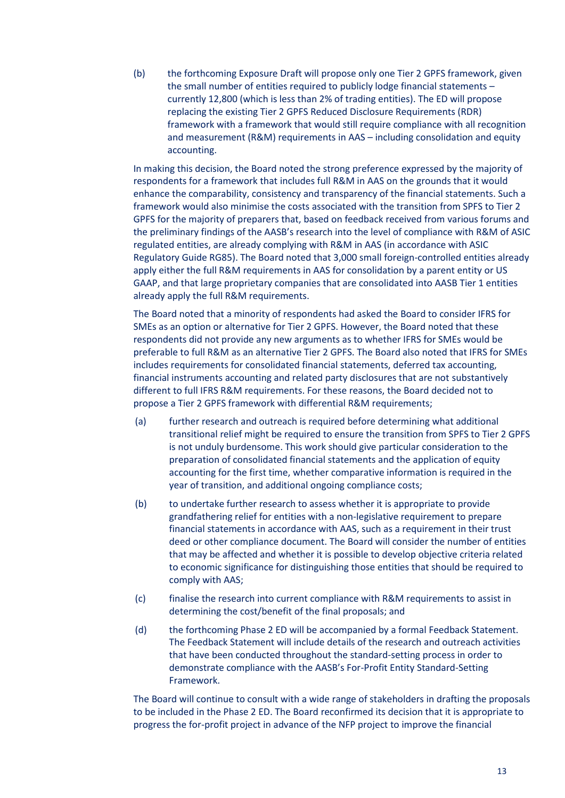(b) the forthcoming Exposure Draft will propose only one Tier 2 GPFS framework, given the small number of entities required to publicly lodge financial statements – currently 12,800 (which is less than 2% of trading entities). The ED will propose replacing the existing Tier 2 GPFS Reduced Disclosure Requirements (RDR) framework with a framework that would still require compliance with all recognition and measurement (R&M) requirements in AAS – including consolidation and equity accounting.

In making this decision, the Board noted the strong preference expressed by the majority of respondents for a framework that includes full R&M in AAS on the grounds that it would enhance the comparability, consistency and transparency of the financial statements. Such a framework would also minimise the costs associated with the transition from SPFS to Tier 2 GPFS for the majority of preparers that, based on feedback received from various forums and the preliminary findings of the AASB's research into the level of compliance with R&M of ASIC regulated entities, are already complying with R&M in AAS (in accordance with ASIC Regulatory Guide RG85). The Board noted that 3,000 small foreign-controlled entities already apply either the full R&M requirements in AAS for consolidation by a parent entity or US GAAP, and that large proprietary companies that are consolidated into AASB Tier 1 entities already apply the full R&M requirements.

The Board noted that a minority of respondents had asked the Board to consider IFRS for SMEs as an option or alternative for Tier 2 GPFS. However, the Board noted that these respondents did not provide any new arguments as to whether IFRS for SMEs would be preferable to full R&M as an alternative Tier 2 GPFS. The Board also noted that IFRS for SMEs includes requirements for consolidated financial statements, deferred tax accounting, financial instruments accounting and related party disclosures that are not substantively different to full IFRS R&M requirements. For these reasons, the Board decided not to propose a Tier 2 GPFS framework with differential R&M requirements;

- (a) further research and outreach is required before determining what additional transitional relief might be required to ensure the transition from SPFS to Tier 2 GPFS is not unduly burdensome. This work should give particular consideration to the preparation of consolidated financial statements and the application of equity accounting for the first time, whether comparative information is required in the year of transition, and additional ongoing compliance costs;
- (b) to undertake further research to assess whether it is appropriate to provide grandfathering relief for entities with a non-legislative requirement to prepare financial statements in accordance with AAS, such as a requirement in their trust deed or other compliance document. The Board will consider the number of entities that may be affected and whether it is possible to develop objective criteria related to economic significance for distinguishing those entities that should be required to comply with AAS;
- (c) finalise the research into current compliance with R&M requirements to assist in determining the cost/benefit of the final proposals; and
- (d) the forthcoming Phase 2 ED will be accompanied by a formal Feedback Statement. The Feedback Statement will include details of the research and outreach activities that have been conducted throughout the standard-setting process in order to demonstrate compliance with the AASB's For-Profit Entity Standard-Setting Framework.

The Board will continue to consult with a wide range of stakeholders in drafting the proposals to be included in the Phase 2 ED. The Board reconfirmed its decision that it is appropriate to progress the for-profit project in advance of the NFP project to improve the financial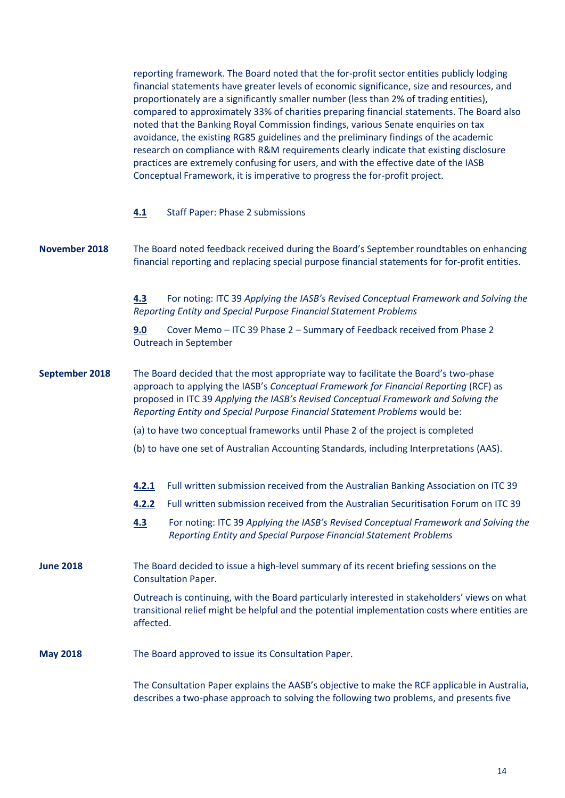reporting framework. The Board noted that the for-profit sector entities publicly lodging financial statements have greater levels of economic significance, size and resources, and proportionately are a significantly smaller number (less than 2% of trading entities), compared to approximately 33% of charities preparing financial statements. The Board also noted that the Banking Royal Commission findings, various Senate enquiries on tax avoidance, the existing RG85 guidelines and the preliminary findings of the academic research on compliance with R&M requirements clearly indicate that existing disclosure practices are extremely confusing for users, and with the effective date of the IASB Conceptual Framework, it is imperative to progress the for-profit project.

|                      | <b>Staff Paper: Phase 2 submissions</b><br>4.1                                                                                                                                                                                                                                                                                                     |  |
|----------------------|----------------------------------------------------------------------------------------------------------------------------------------------------------------------------------------------------------------------------------------------------------------------------------------------------------------------------------------------------|--|
| <b>November 2018</b> | The Board noted feedback received during the Board's September roundtables on enhancing<br>financial reporting and replacing special purpose financial statements for for-profit entities.                                                                                                                                                         |  |
|                      | For noting: ITC 39 Applying the IASB's Revised Conceptual Framework and Solving the<br>4.3<br>Reporting Entity and Special Purpose Financial Statement Problems                                                                                                                                                                                    |  |
|                      | Cover Memo - ITC 39 Phase 2 - Summary of Feedback received from Phase 2<br>9.0<br><b>Outreach in September</b>                                                                                                                                                                                                                                     |  |
| September 2018       | The Board decided that the most appropriate way to facilitate the Board's two-phase<br>approach to applying the IASB's Conceptual Framework for Financial Reporting (RCF) as<br>proposed in ITC 39 Applying the IASB's Revised Conceptual Framework and Solving the<br>Reporting Entity and Special Purpose Financial Statement Problems would be: |  |
|                      | (a) to have two conceptual frameworks until Phase 2 of the project is completed                                                                                                                                                                                                                                                                    |  |
|                      | (b) to have one set of Australian Accounting Standards, including Interpretations (AAS).                                                                                                                                                                                                                                                           |  |
|                      | Full written submission received from the Australian Banking Association on ITC 39<br>4.2.1                                                                                                                                                                                                                                                        |  |
|                      | Full written submission received from the Australian Securitisation Forum on ITC 39<br>4.2.2                                                                                                                                                                                                                                                       |  |
|                      | 4.3<br>For noting: ITC 39 Applying the IASB's Revised Conceptual Framework and Solving the<br>Reporting Entity and Special Purpose Financial Statement Problems                                                                                                                                                                                    |  |
| <b>June 2018</b>     | The Board decided to issue a high-level summary of its recent briefing sessions on the<br><b>Consultation Paper.</b>                                                                                                                                                                                                                               |  |
|                      | Outreach is continuing, with the Board particularly interested in stakeholders' views on what<br>transitional relief might be helpful and the potential implementation costs where entities are<br>affected.                                                                                                                                       |  |
| <b>May 2018</b>      | The Board approved to issue its Consultation Paper.                                                                                                                                                                                                                                                                                                |  |
|                      | The Consultation Paper explains the AASB's objective to make the RCF applicable in Australia,                                                                                                                                                                                                                                                      |  |

describes a two-phase approach to solving the following two problems, and presents five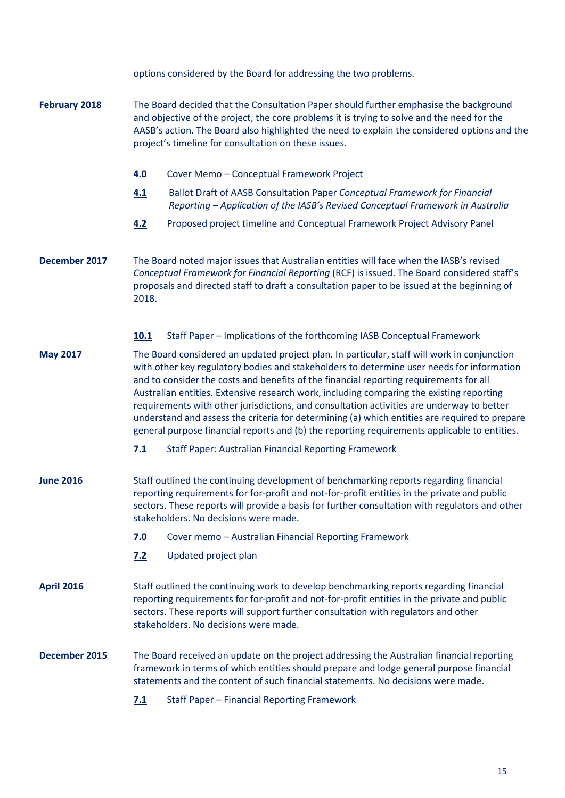|                      | options considered by the Board for addressing the two problems.                                                                                                                                                                                                                                                                                                                                                                                                                                                                                                                                                                                                             |
|----------------------|------------------------------------------------------------------------------------------------------------------------------------------------------------------------------------------------------------------------------------------------------------------------------------------------------------------------------------------------------------------------------------------------------------------------------------------------------------------------------------------------------------------------------------------------------------------------------------------------------------------------------------------------------------------------------|
| <b>February 2018</b> | The Board decided that the Consultation Paper should further emphasise the background<br>and objective of the project, the core problems it is trying to solve and the need for the<br>AASB's action. The Board also highlighted the need to explain the considered options and the<br>project's timeline for consultation on these issues.                                                                                                                                                                                                                                                                                                                                  |
|                      | Cover Memo - Conceptual Framework Project<br>4.0                                                                                                                                                                                                                                                                                                                                                                                                                                                                                                                                                                                                                             |
|                      | Ballot Draft of AASB Consultation Paper Conceptual Framework for Financial<br>4.1<br>Reporting - Application of the IASB's Revised Conceptual Framework in Australia                                                                                                                                                                                                                                                                                                                                                                                                                                                                                                         |
|                      | Proposed project timeline and Conceptual Framework Project Advisory Panel<br>4.2                                                                                                                                                                                                                                                                                                                                                                                                                                                                                                                                                                                             |
| December 2017        | The Board noted major issues that Australian entities will face when the IASB's revised<br>Conceptual Framework for Financial Reporting (RCF) is issued. The Board considered staff's<br>proposals and directed staff to draft a consultation paper to be issued at the beginning of<br>2018.                                                                                                                                                                                                                                                                                                                                                                                |
|                      | <b>10.1</b><br>Staff Paper - Implications of the forthcoming IASB Conceptual Framework                                                                                                                                                                                                                                                                                                                                                                                                                                                                                                                                                                                       |
| <b>May 2017</b>      | The Board considered an updated project plan. In particular, staff will work in conjunction<br>with other key regulatory bodies and stakeholders to determine user needs for information<br>and to consider the costs and benefits of the financial reporting requirements for all<br>Australian entities. Extensive research work, including comparing the existing reporting<br>requirements with other jurisdictions, and consultation activities are underway to better<br>understand and assess the criteria for determining (a) which entities are required to prepare<br>general purpose financial reports and (b) the reporting requirements applicable to entities. |
|                      | 7.1<br><b>Staff Paper: Australian Financial Reporting Framework</b>                                                                                                                                                                                                                                                                                                                                                                                                                                                                                                                                                                                                          |
| <b>June 2016</b>     | Staff outlined the continuing development of benchmarking reports regarding financial<br>reporting requirements for for-profit and not-for-profit entities in the private and public<br>sectors. These reports will provide a basis for further consultation with regulators and other<br>stakeholders. No decisions were made.                                                                                                                                                                                                                                                                                                                                              |
|                      | Cover memo - Australian Financial Reporting Framework<br><u>7.0</u>                                                                                                                                                                                                                                                                                                                                                                                                                                                                                                                                                                                                          |
|                      | Updated project plan<br>7.2                                                                                                                                                                                                                                                                                                                                                                                                                                                                                                                                                                                                                                                  |
| <b>April 2016</b>    | Staff outlined the continuing work to develop benchmarking reports regarding financial<br>reporting requirements for for-profit and not-for-profit entities in the private and public<br>sectors. These reports will support further consultation with regulators and other<br>stakeholders. No decisions were made.                                                                                                                                                                                                                                                                                                                                                         |
| December 2015        | The Board received an update on the project addressing the Australian financial reporting<br>framework in terms of which entities should prepare and lodge general purpose financial<br>statements and the content of such financial statements. No decisions were made.                                                                                                                                                                                                                                                                                                                                                                                                     |
|                      | <b>Staff Paper - Financial Reporting Framework</b><br>7.1                                                                                                                                                                                                                                                                                                                                                                                                                                                                                                                                                                                                                    |